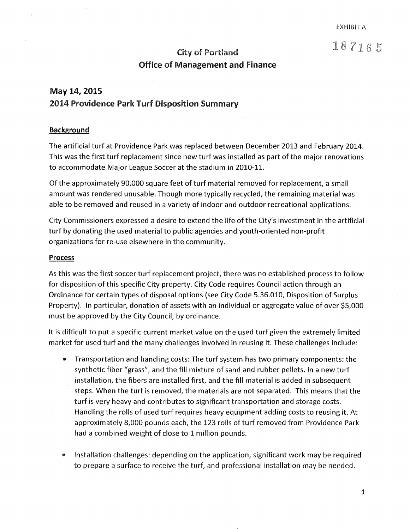## City of Portland  $187165$ Office of Management and Finance

### May 14, 2015 2014 Providence Park Turf Disposition Summary

#### Background

The artificial turf at Providence Park was replaced between December 2013 and February 2014. This was the first turf replacement since new turf was installed as part of the major renovations to accommodate Major League Soccer at the stadium in 2010-11.

Of the approximately 90,000 square feet of turf material removed for replacement, a small amount was rendered unusable. Though more typically recycled, the remaining material was able to be removed and reused in a variety of indoor and outdoor recreational applications.

City Commissioners expressed a desire to extend the life of the City's investment in the artificial turf by donating the used material to public agencies and youth-oriented non-profit organizations for re-use elsewhere in the community.

#### **Process**

As this was the first soccer turf replacement project, there was no established process to follow for disposition of this specific City property. City Code requires Council action through an Ordinance for certain types of disposal options (see City Code 5.36.010, Disposition of Surplus Property). In particular, donation of assets with an individual or aggregate value of over \$5,000 must be approved by the City Council, by ordinance.

It is difficult to put a specific current market value on the used turf given the extremely limited market for used turf and the many challenges involved in reusing it. These challenges include:

- e Transportation and handling costs: The turf system has two primary components: the synthetic fiber "grass", and the fill mixture of sand and rubber pellets. In a new turf installation, the fibers are installed first, and the fill material is added in subsequent steps. When the turf is removed, the materials are not separated. This means that the turf is very heavy and contributes to significant transportation and storage costs. Handling the rolls of used turf requires heavy equipment adding costs to reusing it. At approximately 8,000 pounds each, the 123 rolls of turf removed from Providence Park had a combined weight of close to 1 million pounds.
- Installation challenges: depending on the application, significant work may be required to prepare a surface to receive the turf, and professional installation may be needed.

1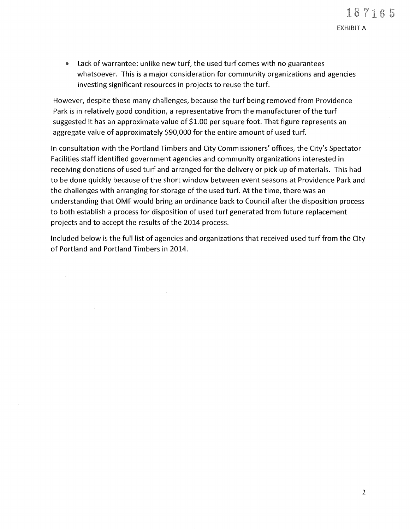EXHIBIT A

Lack of warrantee: unlike new turf, the used turf comes with no guarantees whatsoever. This is a major consideration for community organizations and agencies investing significant resources in projects to reuse the turf.

However, despite these many challenges, because the turf being removed from Providence Park is in relatively good condition, a representative from the manufacturer of the turf suggested it has an approximate value of \$1.00 per square foot. That figure represents an aggregate value of approximately \$90,000 for the entire amount of used turf.

In consultation with the Portland Timbers and City Commissioners' offices, the City's Spectator Facilities staff identified government agencies and community organizations interested in receiving donations of used turf and arranged for the delivery or pick up of materials. This had to be done quickly because of the short window between event seasons at Providence Park and the challenges with arranging for storage of the used turf. At the time, there was an understanding that OMF would bring an ordinance back to Council after the disposition process to both establish a process for disposition of used turf generated from future replacement projects and to accept the results of the 2014 process.

Included below is the full list of agencies and organizations that received used turf from the City of Portland and Portland Timbers in 2014.

 $\mathcal{A}$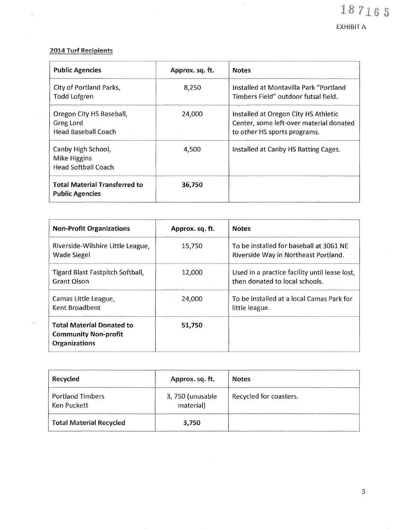# 187165

EXHIBIT A

#### 2014 Turf Recipients

 $\label{eq:2} \frac{1}{\sqrt{2}}\int_{0}^{\frac{1}{2}}\frac{1}{\sqrt{2}}\,d\mu_{\rm{eff}}$ 

 $\hat{\mathcal{A}}$ 

| <b>Public Agencies</b>                                              | Approx. sq. ft. | <b>Notes</b>                                                                                                    |  |  |
|---------------------------------------------------------------------|-----------------|-----------------------------------------------------------------------------------------------------------------|--|--|
| City of Portland Parks,<br>Todd Lofgren                             | 8,250           | Installed at Montavilla Park "Portland<br>Timbers Field" outdoor futsal field.                                  |  |  |
| Oregon City HS Baseball,<br>Greg Lord<br><b>Head Baseball Coach</b> | 24,000          | Installed at Oregon City HS Athletic<br>Center, some left-over material donated<br>to other HS sports programs. |  |  |
| Canby High School,<br>Mike Higgins<br><b>Head Softball Coach</b>    | 4,500           | Installed at Canby HS Batting Cages.                                                                            |  |  |
| <b>Total Material Transferred to</b><br><b>Public Agencies</b>      | 36,750          |                                                                                                                 |  |  |

| <b>Non-Profit Organizations</b>                                                  | Approx. sq. ft. | <b>Notes</b>                                                                    |
|----------------------------------------------------------------------------------|-----------------|---------------------------------------------------------------------------------|
| Riverside-Wilshire Little League,<br>Wade Siegel                                 | 15,750          | To be installed for baseball at 3061 NF<br>Riverside Way in Northeast Portland. |
| Tigard Blast Fastpitch Softball,<br><b>Grant Olson</b>                           | 12,000          | Used in a practice facility until lease lost,<br>then donated to local schools. |
| Camas Little League,<br>Kent Broadbent                                           | 24,000          | To be installed at a local Camas Park for<br>little league.                     |
| <b>Total Material Donated to</b><br><b>Community Non-profit</b><br>Organizations | 51,750          |                                                                                 |

| Recycled                               | Approx. sq. ft.              | <b>Notes</b>           |
|----------------------------------------|------------------------------|------------------------|
| <b>Portland Timbers</b><br>Ken Puckett | 3,750 (unusable<br>material) | Recycled for coasters. |
| <b>Total Material Recycled</b>         | 3,750                        |                        |

3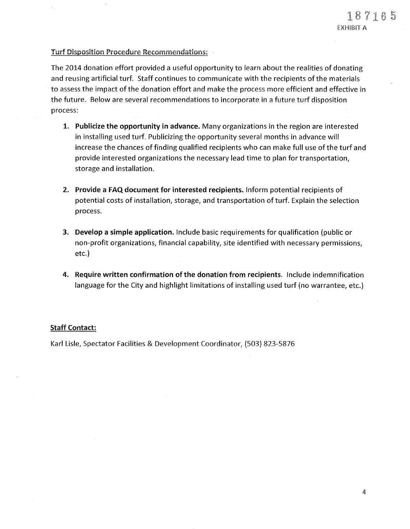#### Turf Disposition Procedure Recommendations:

The 2014 donation effort provided a useful opportunity to learn about the realities of donating and reusing artificial turf. Staff continues to communicate with the recipients of the materials to assess the impact of the donation effort and make the process more efficient and effective in the future. Below are several recommendations to incorporate in a future turf disposition process:

- 1. Publicize the opportunity in advance. Many organizations in the region are interested in installing used turf. Publicizing the opportunity several months in advance will increase the chances of finding qualified recipients who can make full use of the turf and provide interested organizations the necessary lead time to plan for transportation, storage and installation.
- 2. Provide a FAQ document for interested recipients. Inform potential recipients of potential costs of installation, storage, and transportation of turf. Explain the selection process.
- 3. Develop a simple application. Include basic requirements for qualification (public or non-profit organizations, financial capability, site identified with necessary permissions, etc.)
- 4. Require written confirmation of the donation from recipients. Include indemnification language for the City and highlight limitations of installing used turf (no warrantee, etc.)

#### Staff Contact:

Karl Lisle, Spectator Facilities & Development Coordinator, (503) 823-5876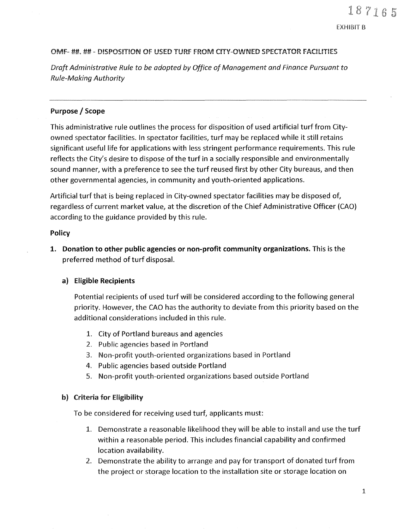EXHIBIT B

#### OMF- ##.##~DISPOSITION OF USED TURF FROM CITY-OWNED SPECTATOR FACILITIES

*Draft Administrative Rule to be adopted by Office of Management and Finance Pursuant to Rule-Making Authority* 

#### Purpose *I* Scope

This administrative rule outlines the process for disposition of used artificial turf from Cityowned spectator facilities. In spectator facilities, turf may be replaced while it still retains significant useful life for applications with less stringent performance requirements. This rule reflects the City's desire to dispose of the turf in a socially responsible and environmentally sound manner, with a preference to see the turf reused first by other City bureaus, and then other governmental agencies, in community and youth-oriented applications.

Artificial turf that is being replaced in City-owned spectator facilities may be disposed of, regardless of current market value, at the discretion of the Chief Administrative Officer (CAO) according to the guidance provided by this rule.

#### **Policy**

1. **Donation to other public agencies or non-profit community organizations.** This is the preferred method of turf disposal.

#### **a) Eligible Recipients**

Potential recipients of used turf will be considered according to the following general priority. However, the CAO has the authority to deviate from this priority based on the additional considerations included in this rule.

- 1. City of Portland bureaus and agencies
- 2. Public agencies based in Portland
- 3. Non-profit youth-oriented organizations based in Portland
- 4. Public agencies based outside Portland
- 5. Non-profit youth-oriented organizations based outside Portland

#### b) Criteria for Eligibility

To be considered for receiving used turf, applicants must:

- 1. Demonstrate a reasonable likelihood they will be able to install and use the turf within a reasonable period. This includes financial capability and confirmed location availability.
- 2. Demonstrate the ability to arrange and pay for transport of donated turf from the project or storage location to the installation site or storage location on